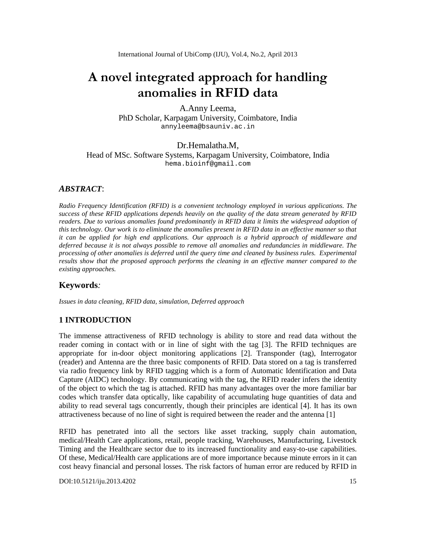# A novel integrated approach for h anomalies in RFID data

A.Anny Leema, PhD ScholarKarpagam University, Coimbatore, India [annyleema@bsauniv.ac.in](mailto:annyleema@bsauniv.ac)

## Dr.Hemalatha.M, Head of MSc. Software Systems, Karpagam University, Coimbatore, India hema.[bioinf@gmail.com](mailto:bioinf@gmail.com)

# ABSTRACT:

Radio Frequency Identification (RFID) is a convenient technology boyed in various application sthe success of these RFID applications depends heavily on the quality of the data stream generated by RFID readers. Due to various anomalies found predominant RFID data it limits the widespread adoption of this technology. Our work is to eliminate the anomalies present in RFID data in an effective manner so that it can be applied for high end application Qur approach is a hybrid approach f middleware and deferred because it is not always possible to remove all alrearned redundancies in middleware. The processing of other anomalies is deferred until the query time and cleaned by business rules. Experimental results show that the proposed approach performs the cleaning in an effective manner compared to the existing approaches.

## Keywords:

Issues in data cleaning, RFID data, simulation, Deferred approach

## 1 INTRODUCTION

The immense attractiveness of RFID technology is ability to store and read data without the reader coming in contact with or in line of sight with the tag [3]. The RFID techniques are appropriate for indoor object monitoring applications [2]. Transponderg), Interrogator (reader) and Antenna are the three basic components of RFID. Data stored on a tag is transferred via radio frequency link by RFID tagging which is a form of Automatic Identification and Data Capture (AIDC) technology. By communicating that the tag, the RFID reader infers the identity of the object to which the tag is attached. RFID has many advantages over the more familiar bar codes which transfer data optically, like capability of accumulating huge quantities of data and ability to read several tags concurrently, though their principleside at etcal [4]. It has its own attractiveness because of no line of sight is required between the reader and the antenna [1]

RFID has penetrated into all the sectors like asset tracking, supply abution ation, medical/Health Care applications, retail, people tracking, Warehouses, Manufacturing, Livestock Timing and the Healthcare sector due to its increased functionality and bease capabilities. Of these, Medical/Health care applications arenofe importance because minute errors in it can cost heavy financial and personal losses. The risk factors of human error are reduced by RFI

DOI:10.5121/iju.2013.422 15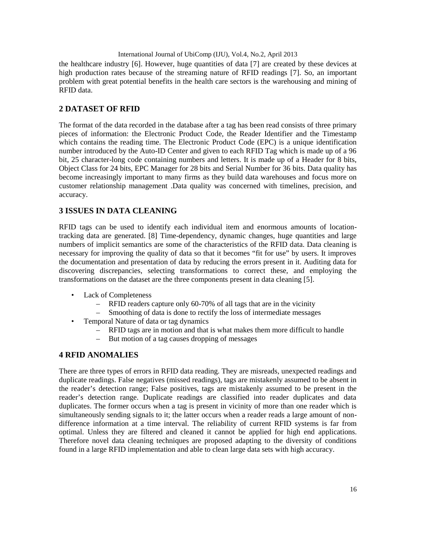the healthcare industry [6]. However, huge quantities of data [7] are created by these devices at high production rates because of the streaming nature of RFID readings [7]. So, an important problem with great potential benefits in the health care sectors is the warehousing and mining of RFID data.

## **2 DATASET OF RFID**

The format of the data recorded in the database after a tag has been read consists of three primary pieces of information: the Electronic Product Code, the Reader Identifier and the Timestamp which contains the reading time. The Electronic Product Code (EPC) is a unique identification number introduced by the Auto-ID Center and given to each RFID Tag which is made up of a 96 bit, 25 character-long code containing numbers and letters. It is made up of a Header for 8 bits, Object Class for 24 bits, EPC Manager for 28 bits and Serial Number for 36 bits. Data quality has become increasingly important to many firms as they build data warehouses and focus more on customer relationship management .Data quality was concerned with timelines, precision, and accuracy.

#### **3 ISSUES IN DATA CLEANING**

RFID tags can be used to identify each individual item and enormous amounts of locationtracking data are generated. [8] Time-dependency, dynamic changes, huge quantities and large numbers of implicit semantics are some of the characteristics of the RFID data. Data cleaning is necessary for improving the quality of data so that it becomes "fit for use" by users. It improves the documentation and presentation of data by reducing the errors present in it. Auditing data for discovering discrepancies, selecting transformations to correct these, and employing the transformations on the dataset are the three components present in data cleaning [5].

- Lack of Completeness
	- RFID readers capture only 60-70% of all tags that are in the vicinity
	- Smoothing of data is done to rectify the loss of intermediate messages
- Temporal Nature of data or tag dynamics
	- RFID tags are in motion and that is what makes them more difficult to handle
	- But motion of a tag causes dropping of messages

## **4 RFID ANOMALIES**

There are three types of errors in RFID data reading. They are misreads, unexpected readings and duplicate readings. False negatives (missed readings), tags are mistakenly assumed to be absent in the reader's detection range; False positives, tags are mistakenly assumed to be present in the reader's detection range. Duplicate readings are classified into reader duplicates and data duplicates. The former occurs when a tag is present in vicinity of more than one reader which is simultaneously sending signals to it; the latter occurs when a reader reads a large amount of nondifference information at a time interval. The reliability of current RFID systems is far from optimal. Unless they are filtered and cleaned it cannot be applied for high end applications. Therefore novel data cleaning techniques are proposed adapting to the diversity of conditions found in a large RFID implementation and able to clean large data sets with high accuracy.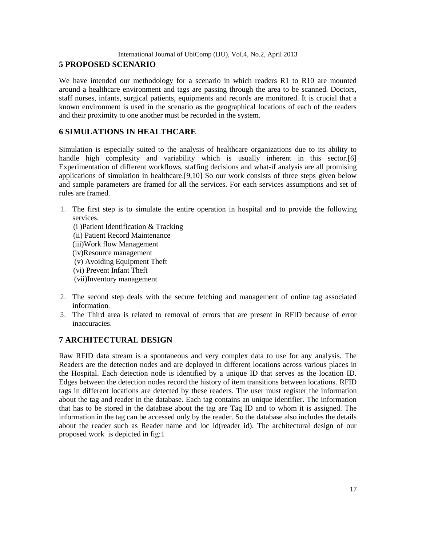## **5 PROPOSED SCENARIO**

We have intended our methodology for a scenario in which readers R1 to R10 are mounted around a healthcare environment and tags are passing through the area to be scanned. Doctors, staff nurses, infants, surgical patients, equipments and records are monitored. It is crucial that a known environment is used in the scenario as the geographical locations of each of the readers and their proximity to one another must be recorded in the system.

## **6 SIMULATIONS IN HEALTHCARE**

Simulation is especially suited to the analysis of healthcare organizations due to its ability to handle high complexity and variability which is usually inherent in this sector.[6] Experimentation of different workflows, staffing decisions and what-if analysis are all promising applications of simulation in healthcare.[9,10] So our work consists of three steps given below and sample parameters are framed for all the services. For each services assumptions and set of rules are framed.

1. The first step is to simulate the entire operation in hospital and to provide the following services.

(i )Patient Identification & Tracking

(ii) Patient Record Maintenance

- (iii)Work flow Management
- (iv)Resource management
- (v) Avoiding Equipment Theft
- (vi) Prevent Infant Theft
- (vii)Inventory management
- 2. The second step deals with the secure fetching and management of online tag associated information.
- 3. The Third area is related to removal of errors that are present in RFID because of error inaccuracies.

# **7 ARCHITECTURAL DESIGN**

Raw RFID data stream is a spontaneous and very complex data to use for any analysis. The Readers are the detection nodes and are deployed in different locations across various places in the Hospital. Each detection node is identified by a unique ID that serves as the location ID. Edges between the detection nodes record the history of item transitions between locations. RFID tags in different locations are detected by these readers. The user must register the information about the tag and reader in the database. Each tag contains an unique identifier. The information that has to be stored in the database about the tag are Tag ID and to whom it is assigned. The information in the tag can be accessed only by the reader. So the database also includes the details about the reader such as Reader name and loc id(reader id). The architectural design of our proposed work is depicted in fig:1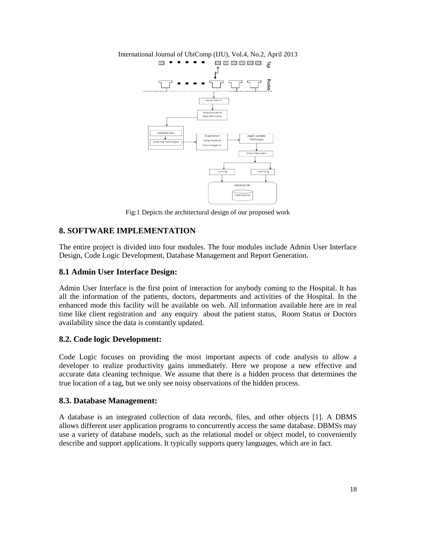

International Journal of UbiComp (IJU), Vol.4, No.2, April 2013

Fig:1 Depicts the architectural design of our proposed work

## **8. SOFTWARE IMPLEMENTATION**

The entire project is divided into four modules. The four modules include Admin User Interface Design, Code Logic Development, Database Management and Report Generation.

#### **8.1 Admin User Interface Design:**

Admin User Interface is the first point of interaction for anybody coming to the Hospital. It has all the information of the patients, doctors, departments and activities of the Hospital. In the enhanced mode this facility will be available on web. All information available here are in real time like client registration and any enquiry about the patient status, Room Status or Doctors availability since the data is constantly updated.

#### **8.2. Code logic Development:**

Code Logic focuses on providing the most important aspects of code analysis to allow a developer to realize productivity gains immediately. Here we propose a new effective and accurate data cleaning technique. We assume that there is a hidden process that determines the true location of a tag, but we only see noisy observations of the hidden process.

#### **8.3. Database Management:**

A database is an integrated collection of data records, files, and other objects [1]. A DBMS allows different user application programs to concurrently access the same database. DBMSs may use a variety of database models, such as the relational model or object model, to conveniently describe and support applications. It typically supports query languages, which are in fact.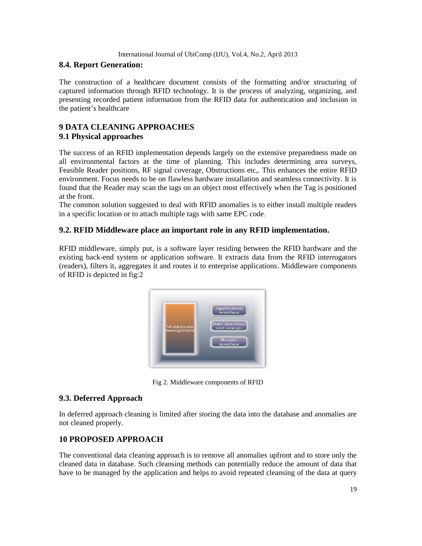#### **8.4. Report Generation:**

The construction of a healthcare document consists of the formatting and/or structuring of captured information through RFID technology. It is the process of analyzing, organizing, and presenting recorded patient information from the RFID data for authentication and inclusion in the patient's healthcare

## **9 DATA CLEANING APPROACHES 9.1 Physical approaches**

The success of an RFID implementation depends largely on the extensive preparedness made on all environmental factors at the time of planning. This includes determining area surveys, Feasible Reader positions, RF signal coverage, Obstructions etc,. This enhances the entire RFID environment. Focus needs to be on flawless hardware installation and seamless connectivity. It is found that the Reader may scan the tags on an object most effectively when the Tag is positioned at the front.

The common solution suggested to deal with RFID anomalies is to either install multiple readers in a specific location or to attach multiple tags with same EPC code.

## **9.2. RFID Middleware place an important role in any RFID implementation.**

RFID middleware, simply put, is a software layer residing between the RFID hardware and the existing back-end system or application software. It extracts data from the RFID interrogators (readers), filters it, aggregates it and routes it to enterprise applications. Middleware components of RFID is depicted in fig:2



Fig 2. Middleware components of RFID

## **9.3. Deferred Approach**

In deferred approach cleaning is limited after storing the data into the database and anomalies are not cleaned properly.

## **10 PROPOSED APPROACH**

The conventional data cleaning approach is to remove all anomalies upfront and to store only the cleaned data in database. Such cleansing methods can potentially reduce the amount of data that have to be managed by the application and helps to avoid repeated cleansing of the data at query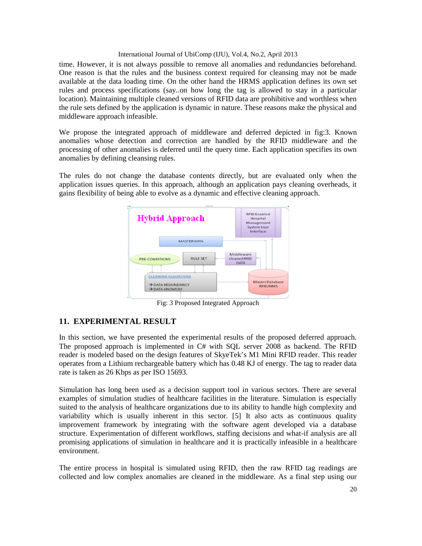time. However, it is not always possible to remove all anomalies and redundancies beforehand. One reason is that the rules and the business context required for cleansing may not be made available at the data loading time. On the other hand the HRMS application defines its own set rules and process specifications (say..on how long the tag is allowed to stay in a particular location). Maintaining multiple cleaned versions of RFID data are prohibitive and worthless when the rule sets defined by the application is dynamic in nature. These reasons make the physical and middleware approach infeasible.

We propose the integrated approach of middleware and deferred depicted in fig:3. Known anomalies whose detection and correction are handled by the RFID middleware and the processing of other anomalies is deferred until the query time. Each application specifies its own anomalies by defining cleansing rules.

The rules do not change the database contents directly, but are evaluated only when the application issues queries. In this approach, although an application pays cleaning overheads, it gains flexibility of being able to evolve as a dynamic and effective cleaning approach.



Fig: 3 Proposed Integrated Approach

#### **11. EXPERIMENTAL RESULT**

In this section, we have presented the experimental results of the proposed deferred approach. The proposed approach is implemented in C# with SQL server 2008 as backend. The RFID reader is modeled based on the design features of SkyeTek's M1 Mini RFID reader. This reader operates from a Lithium rechargeable battery which has 0.48 KJ of energy. The tag to reader data rate is taken as 26 Kbps as per ISO 15693.

Simulation has long been used as a decision support tool in various sectors. There are several examples of simulation studies of healthcare facilities in the literature. Simulation is especially suited to the analysis of healthcare organizations due to its ability to handle high complexity and variability which is usually inherent in this sector. [5] It also acts as continuous quality improvement framework by integrating with the software agent developed via a database structure. Experimentation of different workflows, staffing decisions and what-if analysis are all promising applications of simulation in healthcare and it is practically infeasible in a healthcare environment.

The entire process in hospital is simulated using RFID, then the raw RFID tag readings are collected and low complex anomalies are cleaned in the middleware. As a final step using our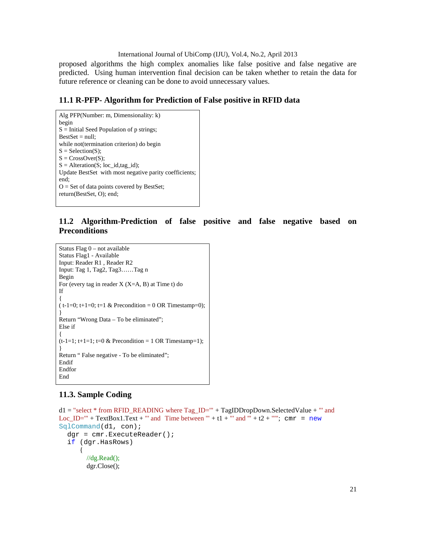proposed algorithms the high complex anomalies like false positive and false negative are predicted. Using human intervention final decision can be taken whether to retain the data for future reference or cleaning can be done to avoid unnecessary values.

#### **11.1 R-PFP- Algorithm for Prediction of False positive in RFID data**

Alg PFP(Number: m, Dimensionality: k) begin  $S =$  Initial Seed Population of p strings;  $BestSet = null;$ while not(termination criterion) do begin  $S = Selection(S);$  $S = CrossOver(S);$  $S =$  Alteration(S; loc\_id,tag\_id); Update BestSet with most negative parity coefficients; end;  $O =$  Set of data points covered by BestSet; return(BestSet, O); end;

## **11.2 Algorithm-Prediction of false positive and false negative based on Preconditions**

```
Status Flag 0 – not available
Status Flag1 - Available
Input: Reader R1 , Reader R2
Input: Tag 1, Tag2, Tag3……Tag n
Begin
For (every tag in reader X (X=A, B) at Time t) do
If
{
(t-1=0; t+1=0; t=1 \& Precondition = 0 \text{ OR Times} (t-1=0);}
Return "Wrong Data – To be eliminated";
Else if
{
(t-1=1; t+1=1; t=0 \& Precondition = 1 OR Timestamp=1);
}
Return " False negative - To be eliminated";
Endif
Endfor
End
```
#### **11.3. Sample Coding**

```
d1 = "select * from RFID_READING where Tag_ID='" + TagIDDropDown.SelectedValue + "' and
Loc ID="" + TextBox1.Text + "' and Time between "' + t1 + "' and "' + t2 + "'"; cmr = new
SqlCommand(d1, con);
  dgr = cmr.ExecuteReader();
  if (dgr.HasRows)
      {
        //dg.Read();
        dgr.Close();
```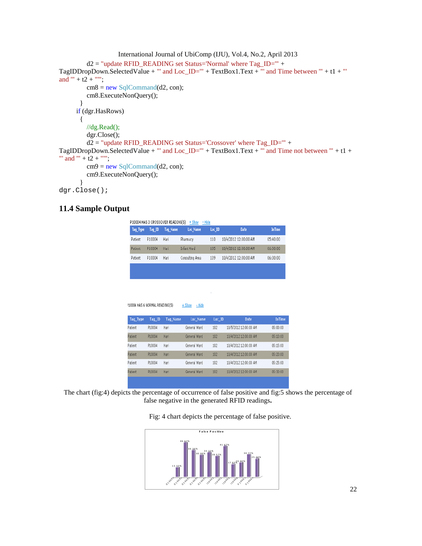```
International Journal of UbiComp (IJU), Vol.4, No.2, April 2013
         d2 = "update RFID_READING set Status='Normal' where Tag_ID='" +
TagIDDropDown.SelectedValue + "' and Loc_ID='" + TextBox1.Text + "' and Time between '" + t1 + "'
and "' + t2 +"";
         cm8 = new \text{SqlCommand}(d2, con);cm8.ExecuteNonQuery();
       }
     if (dgr.HasRows)
       {
         //dg.Read();
         dgr.Close();
         d2 = "update RFID_READING set Status='Crossover' where Tag_ID='" +
TagIDDropDown.SelectedValue + "' and Loc_ID='" + TextBox1.Text + "' and Time not between '" + t1 +
"' and "' + t2 +"";
        cm9 = new SqCommand(d2, con);
         cm9.ExecuteNonQuery();
       }
dgr.Close();
```
#### **11.4 Sample Output**

| P10004 HAS 3 CROSSOVER READING(S)<br>+ Shov<br>- Hide |        |                 |                 |        |                       |                |  |  |  |  |
|-------------------------------------------------------|--------|-----------------|-----------------|--------|-----------------------|----------------|--|--|--|--|
| Tag_Type                                              | Tag_ID | <b>Tag Name</b> | Loc Name        | Loc ID | Date                  | <b>In Time</b> |  |  |  |  |
| Patient                                               | P10004 | Hari            | Pharmacy        | 110    | 10/4/2012 12:00:00 AM | 05:40:00       |  |  |  |  |
| Patient                                               | P10004 | Hari            | Infant Ward     | 105    | 10/4/2012 12:00:00 AM | 06:00:00       |  |  |  |  |
| Patient                                               | P10004 | Hari            | Consulting Area | 109    | 10/4/2012 12:00:00 AM | 06:30:00       |  |  |  |  |
|                                                       |        |                 |                 |        |                       |                |  |  |  |  |

'10004 HAS 6 NORMAL READING(S) + Show - Hide

| Tag_Type | Tag ID | <b>Tag Name</b> | Loc Name     | Loc ID | Date                  | <b>InTime</b> |
|----------|--------|-----------------|--------------|--------|-----------------------|---------------|
| Patient  | P10004 | Hari            | General Ward | 102    | 10/5/2012 12:00:00 AM | 05:00:00      |
| Patient  | P10004 | Hari            | General Ward | 102    | 10/4/2012 12:00:00 AM | 05:10:00      |
| Patient  | P10004 | Hari            | General Ward | 102    | 10/4/2012 12:00:00 AM | 05:15:00      |
| Patient  | P10004 | Hari            | General Ward | 102    | 10/4/2012 12:00:00 AM | 05:20:00      |
| Patient  | P10004 | Hari            | General Ward | 102    | 10/4/2012 12:00:00 AM | 05:25:00      |
| Patient  | P10004 | Hari            | General Ward | 102    | 10/4/2012 12:00:00 AM | 05:30:00      |
|          |        |                 |              |        |                       |               |

The chart (fig:4) depicts the percentage of occurrence of false positive and fig:5 shows the percentage of false negative in the generated RFID readings**.**

| Fig: 4 chart depicts the percentage of false positive. |  |
|--------------------------------------------------------|--|
|                                                        |  |
| _ _ _ _ _                                              |  |

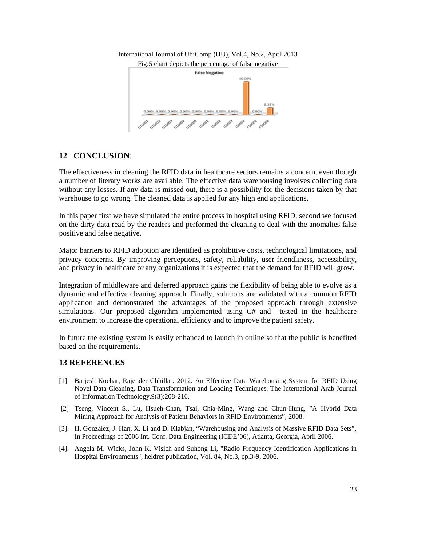International Journal of UbiComp (IJU), Vol.4, No.2, April 2013



#### **12 CONCLUSION**:

The effectiveness in cleaning the RFID data in healthcare sectors remains a concern, even though a number of literary works are available. The effective data warehousing involves collecting data without any losses. If any data is missed out, there is a possibility for the decisions taken by that warehouse to go wrong. The cleaned data is applied for any high end applications.

In this paper first we have simulated the entire process in hospital using RFID, second we focused on the dirty data read by the readers and performed the cleaning to deal with the anomalies false positive and false negative.

Major barriers to RFID adoption are identified as prohibitive costs, technological limitations, and privacy concerns. By improving perceptions, safety, reliability, user-friendliness, accessibility, and privacy in healthcare or any organizations it is expected that the demand for RFID will grow.

Integration of middleware and deferred approach gains the flexibility of being able to evolve as a dynamic and effective cleaning approach. Finally, solutions are validated with a common RFID application and demonstrated the advantages of the proposed approach through extensive simulations. Our proposed algorithm implemented using C# and tested in the healthcare environment to increase the operational efficiency and to improve the patient safety.

In future the existing system is easily enhanced to launch in online so that the public is benefited based on the requirements.

#### **13 REFERENCES**

- [1] Barjesh Kochar, Rajender Chhillar. 2012. An Effective Data Warehousing System for RFID Using Novel Data Cleaning, Data Transformation and Loading Techniques. The International Arab Journal of Information Technology.9(3):208-216.
- [2] Tseng, Vincent S., Lu, Hsueh-Chan, Tsai, Chia-Ming, Wang and Chun-Hung, "A Hybrid Data Mining Approach for Analysis of Patient Behaviors in RFID Environments", 2008.
- [3]. H. Gonzalez, J. Han, X. Li and D. Klabjan, "Warehousing and Analysis of Massive RFID Data Sets", In Proceedings of 2006 Int. Conf. Data Engineering (ICDE'06), Atlanta, Georgia, April 2006.
- [4]. Angela M. Wicks, John K. Visich and Suhong Li, "Radio Frequency Identification Applications in Hospital Environments", heldref publication, Vol. 84, No.3, pp.3-9, 2006.